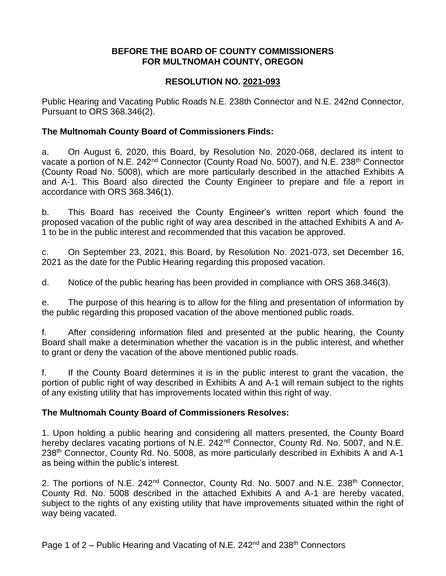#### **BEFORE THE BOARD OF COUNTY COMMISSIONERS FOR MULTNOMAH COUNTY, OREGON**

# **RESOLUTION NO. 2021-093**

Public Hearing and Vacating Public Roads N.E. 238th Connector and N.E. 242nd Connector, Pursuant to ORS 368.346(2).

### **The Multnomah County Board of Commissioners Finds:**

a. On August 6, 2020, this Board, by Resolution No. 2020-068, declared its intent to vacate a portion of N.E. 242<sup>nd</sup> Connector (County Road No. 5007), and N.E. 238<sup>th</sup> Connector (County Road No. 5008), which are more particularly described in the attached Exhibits A and A-1. This Board also directed the County Engineer to prepare and file a report in accordance with ORS 368.346(1).

b. This Board has received the County Engineer's written report which found the proposed vacation of the public right of way area described in the attached Exhibits A and A-1 to be in the public interest and recommended that this vacation be approved.

c. On September 23, 2021, this Board, by Resolution No. 2021-073, set December 16, 2021 as the date for the Public Hearing regarding this proposed vacation.

d. Notice of the public hearing has been provided in compliance with ORS 368.346(3).

e. The purpose of this hearing is to allow for the filing and presentation of information by the public regarding this proposed vacation of the above mentioned public roads.

f. After considering information filed and presented at the public hearing, the County Board shall make a determination whether the vacation is in the public interest, and whether to grant or deny the vacation of the above mentioned public roads.

f. If the County Board determines it is in the public interest to grant the vacation, the portion of public right of way described in Exhibits A and A-1 will remain subject to the rights of any existing utility that has improvements located within this right of way.

# **The Multnomah County Board of Commissioners Resolves:**

1. Upon holding a public hearing and considering all matters presented, the County Board hereby declares vacating portions of N.E. 242<sup>nd</sup> Connector, County Rd. No. 5007, and N.E. 238<sup>th</sup> Connector, County Rd. No. 5008, as more particularly described in Exhibits A and A-1 as being within the public's interest.

2. The portions of N.E. 242<sup>nd</sup> Connector, County Rd. No. 5007 and N.E. 238<sup>th</sup> Connector, County Rd. No. 5008 described in the attached Exhibits A and A-1 are hereby vacated, subject to the rights of any existing utility that have improvements situated within the right of way being vacated.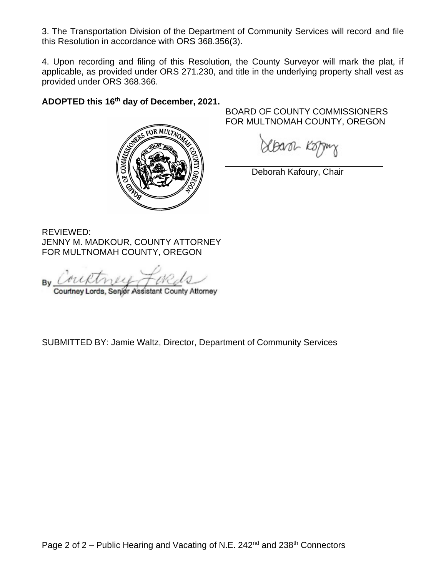3. The Transportation Division of the Department of Community Services will record and file this Resolution in accordance with ORS 368.356(3).

4. Upon recording and filing of this Resolution, the County Surveyor will mark the plat, if applicable, as provided under ORS 271.230, and title in the underlying property shall vest as provided under ORS 368.366.

# **ADOPTED this 16th day of December, 2021.**



BOARD OF COUNTY COMMISSIONERS FOR MULTNOMAH COUNTY, OREGON

Xbavor Ko

Deborah Kafoury, Chair

REVIEWED: JENNY M. MADKOUR, COUNTY ATTORNEY FOR MULTNOMAH COUNTY, OREGON

Courtney Lords, Senior Assistant County Attorney

SUBMITTED BY: Jamie Waltz, Director, Department of Community Services